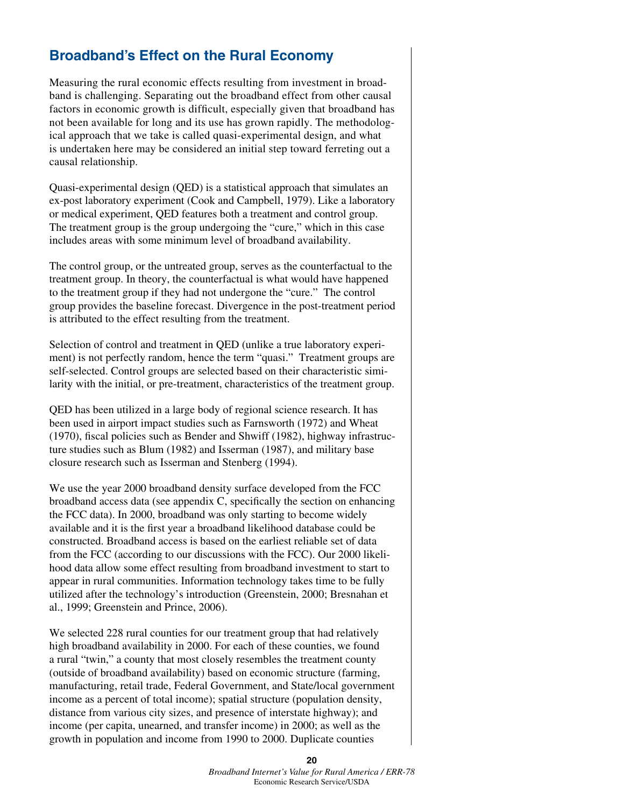## **Broadband's Effect on the Rural Economy**

Measuring the rural economic effects resulting from investment in broadband is challenging. Separating out the broadband effect from other causal factors in economic growth is difficult, especially given that broadband has not been available for long and its use has grown rapidly. The methodological approach that we take is called quasi-experimental design, and what is undertaken here may be considered an initial step toward ferreting out a causal relationship.

Quasi-experimental design (QED) is a statistical approach that simulates an ex-post laboratory experiment (Cook and Campbell, 1979). Like a laboratory or medical experiment, QED features both a treatment and control group. The treatment group is the group undergoing the "cure," which in this case includes areas with some minimum level of broadband availability.

The control group, or the untreated group, serves as the counterfactual to the treatment group. In theory, the counterfactual is what would have happened to the treatment group if they had not undergone the "cure." The control group provides the baseline forecast. Divergence in the post-treatment period is attributed to the effect resulting from the treatment.

Selection of control and treatment in QED (unlike a true laboratory experiment) is not perfectly random, hence the term "quasi." Treatment groups are self-selected. Control groups are selected based on their characteristic similarity with the initial, or pre-treatment, characteristics of the treatment group.

QED has been utilized in a large body of regional science research. It has been used in airport impact studies such as Farnsworth (1972) and Wheat (1970), fiscal policies such as Bender and Shwiff (1982), highway infrastructure studies such as Blum (1982) and Isserman (1987), and military base closure research such as Isserman and Stenberg (1994).

We use the year 2000 broadband density surface developed from the FCC broadband access data (see appendix C, specifically the section on enhancing the FCC data). In 2000, broadband was only starting to become widely available and it is the first year a broadband likelihood database could be constructed. Broadband access is based on the earliest reliable set of data from the FCC (according to our discussions with the FCC). Our 2000 likelihood data allow some effect resulting from broadband investment to start to appear in rural communities. Information technology takes time to be fully utilized after the technology's introduction (Greenstein, 2000; Bresnahan et al., 1999; Greenstein and Prince, 2006).

We selected 228 rural counties for our treatment group that had relatively high broadband availability in 2000. For each of these counties, we found a rural "twin," a county that most closely resembles the treatment county (outside of broadband availability) based on economic structure (farming, manufacturing, retail trade, Federal Government, and State/local government income as a percent of total income); spatial structure (population density, distance from various city sizes, and presence of interstate highway); and income (per capita, unearned, and transfer income) in 2000; as well as the growth in population and income from 1990 to 2000. Duplicate counties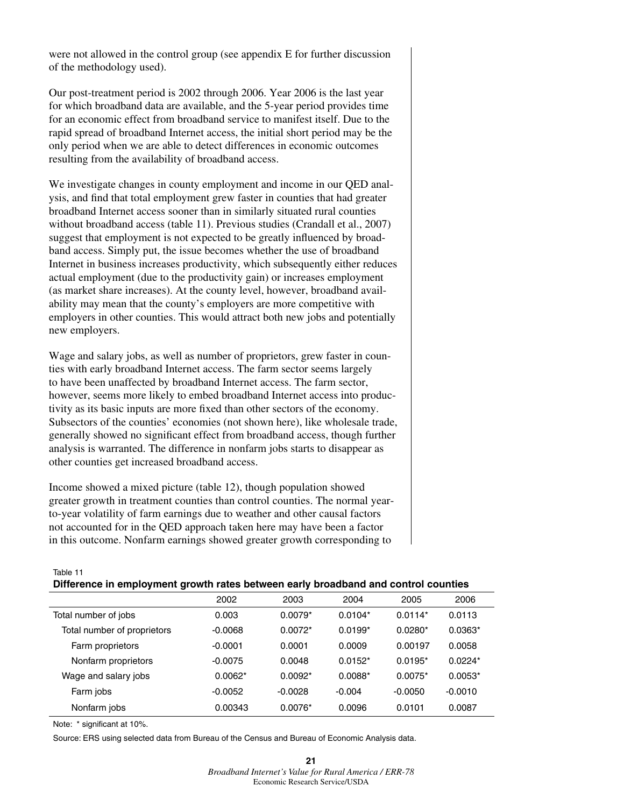were not allowed in the control group (see appendix E for further discussion of the methodology used).

Our post-treatment period is 2002 through 2006. Year 2006 is the last year for which broadband data are available, and the 5-year period provides time for an economic effect from broadband service to manifest itself. Due to the rapid spread of broadband Internet access, the initial short period may be the only period when we are able to detect differences in economic outcomes resulting from the availability of broadband access.

We investigate changes in county employment and income in our QED analysis, and find that total employment grew faster in counties that had greater broadband Internet access sooner than in similarly situated rural counties without broadband access (table 11). Previous studies (Crandall et al., 2007) suggest that employment is not expected to be greatly influenced by broadband access. Simply put, the issue becomes whether the use of broadband Internet in business increases productivity, which subsequently either reduces actual employment (due to the productivity gain) or increases employment (as market share increases). At the county level, however, broadband availability may mean that the county's employers are more competitive with employers in other counties. This would attract both new jobs and potentially new employers.

Wage and salary jobs, as well as number of proprietors, grew faster in counties with early broadband Internet access. The farm sector seems largely to have been unaffected by broadband Internet access. The farm sector, however, seems more likely to embed broadband Internet access into productivity as its basic inputs are more fixed than other sectors of the economy. Subsectors of the counties' economies (not shown here), like wholesale trade, generally showed no significant effect from broadband access, though further analysis is warranted. The difference in nonfarm jobs starts to disappear as other counties get increased broadband access.

Income showed a mixed picture (table 12), though population showed greater growth in treatment counties than control counties. The normal yearto-year volatility of farm earnings due to weather and other causal factors not accounted for in the QED approach taken here may have been a factor in this outcome. Nonfarm earnings showed greater growth corresponding to

Table 11

## **Difference in employment growth rates between early broadband and control counties**

|                             | 2002      | 2003      | 2004      | 2005      | 2006      |
|-----------------------------|-----------|-----------|-----------|-----------|-----------|
| Total number of jobs        | 0.003     | $0.0079*$ | $0.0104*$ | $0.0114*$ | 0.0113    |
| Total number of proprietors | $-0.0068$ | $0.0072*$ | $0.0199*$ | $0.0280*$ | $0.0363*$ |
| Farm proprietors            | $-0.0001$ | 0.0001    | 0.0009    | 0.00197   | 0.0058    |
| Nonfarm proprietors         | $-0.0075$ | 0.0048    | $0.0152*$ | $0.0195*$ | $0.0224*$ |
| Wage and salary jobs        | $0.0062*$ | $0.0092*$ | $0.0088*$ | $0.0075*$ | $0.0053*$ |
| Farm jobs                   | $-0.0052$ | $-0.0028$ | $-0.004$  | $-0.0050$ | $-0.0010$ |
| Nonfarm jobs                | 0.00343   | $0.0076*$ | 0.0096    | 0.0101    | 0.0087    |

Note: \* significant at 10%.

Source: ERS using selected data from Bureau of the Census and Bureau of Economic Analysis data.